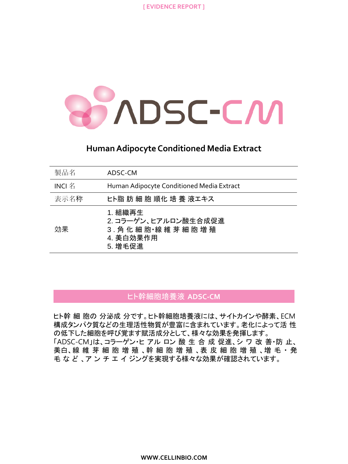

## **Human Adipocyte Conditioned Media Extract**

| 製品名      | ADSC-CM                                                                   |
|----------|---------------------------------------------------------------------------|
| $INCI$ 名 | Human Adipocyte Conditioned Media Extract                                 |
| 表示名称     | ヒト脂 肪 細 胞 順化 培 養 液エキス                                                     |
| 効果       | 1. 組織再生<br>2. コラーゲン、ヒアルロン酸生合成促進<br>3. 角化細胞線維芽細胞増殖<br>4. 美白効果作用<br>5. 增毛促進 |

### ヒト幹細胞培養液 **ADSC-CM**

ヒト幹 細 胞の 分泌成 分です。ヒト幹細胞培養液には、サイトカインや酵素、ECM 構成タンパク質などの生理活性物質が豊富に含まれています。老化によって活 性 の低下した細胞を呼び覚ます賦活成分として、様々な効果を発揮します。 「ADSC-CM」は、コラーゲン・ヒ アル ロン 酸 生 合 成 促進、シ ワ 改 善・防 止、 美白、線 維 芽 細 胞 増 殖 、幹 細 胞 増 殖 、表 皮 細 胞 増 殖 、増 毛 ・発 毛 な ど 、ア ン チ エ イ ジングを実現する様々な効果が確認されています。